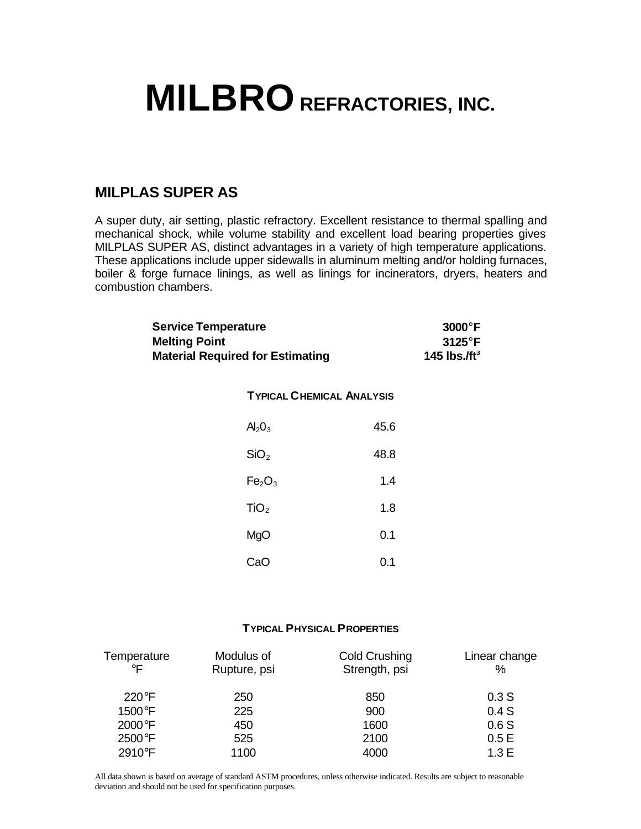## **MILBRO REFRACTORIES, INC.**

## **MILPLAS SUPER AS**

A super duty, air setting, plastic refractory. Excellent resistance to thermal spalling and mechanical shock, while volume stability and excellent load bearing properties gives MILPLAS SUPER AS, distinct advantages in a variety of high temperature applications. These applications include upper sidewalls in aluminum melting and/or holding furnaces, boiler & forge furnace linings, as well as linings for incinerators, dryers, heaters and combustion chambers.

| <b>Service Temperature</b>              | $3000^\circ$ F   |
|-----------------------------------------|------------------|
| <b>Melting Point</b>                    | $3125^{\circ}$ F |
| <b>Material Required for Estimating</b> | 145 lbs./ft $^3$ |

## **TYPICAL CHEMICAL ANALYSIS**

| $Al_2O_3$                      | 45.6 |
|--------------------------------|------|
| SiO <sub>2</sub>               | 48.8 |
| Fe <sub>2</sub> O <sub>3</sub> | 1.4  |
| TiO <sub>2</sub>               | 1.8  |
| MgO                            | 0.1  |
| CaO                            | 0.1  |

## **TYPICAL PHYSICAL PROPERTIES**

| Temperature<br>$\circ \mathsf{F}$ | Modulus of<br>Rupture, psi | Cold Crushing<br>Strength, psi | Linear change<br>% |
|-----------------------------------|----------------------------|--------------------------------|--------------------|
| $220^\circ F$                     | 250                        | 850                            | 0.3S               |
| 1500°F                            | 225                        | 900                            | 0.4S               |
| 2000°F                            | 450                        | 1600                           | 0.6S               |
| 2500°F                            | 525                        | 2100                           | 0.5E               |
| 2910°F                            | 1100                       | 4000                           | 1.3E               |

All data shown is based on average of standard ASTM procedures, unless otherwise indicated. Results are subject to reasonable deviation and should not be used for specification purposes.